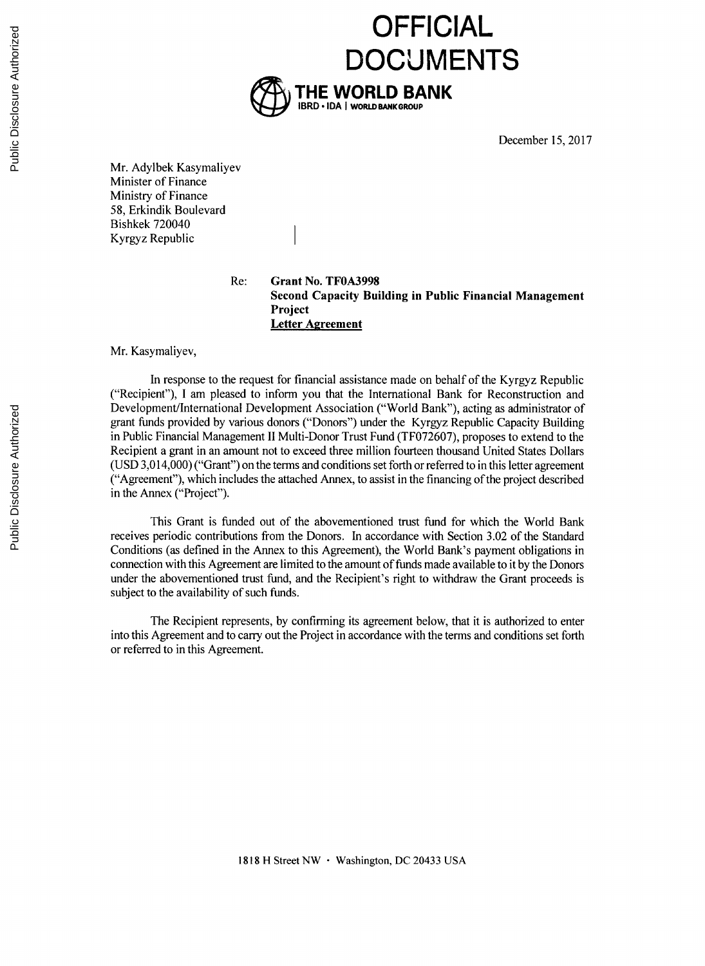

December **15, 2017**

Mr. Adylbek Kasymaliyev Minister of Finance Ministry of Finance **58,** Erkindik Boulevard Bishkek 720040 Kyrgyz Republic

Re: **Grant No. TF0A3998 Second Capacity Building in Public Financial Management Project Letter Agreement**

**OFFICIAL**

Mr. Kasymaliyev,

In response to the request for financial assistance made on behalf of the Kyrgyz Republic ("Recipient"), **I** am pleased to inform you that the International Bank for Reconstruction and Development/International Development Association ("World Bank"), acting as administrator of grant funds provided **by** various donors ("Donors") under the Kyrgyz Republic Capacity Building in Public Financial Management II Multi-Donor Trust Fund **(TF072607),** proposes to extend to the Recipient a grant in an amount not to exceed three million fourteen thousand United States Dollars **(USD** 3,014,000) ("Grant") on the terms and conditions set forth or referred to in this letter agreement ("Agreement"), which includes the attached Annex, to assist in the financing ofthe project described in the Annex ("Project").

This Grant is funded out of the abovementioned trust fund for which the World Bank receives periodic contributions from the Donors. In accordance with Section **3.02** of the Standard Conditions (as defined in the Annex to this Agreement), the World Bank's payment obligations in connection with this Agreement are limited to the amount of funds made available to it **by** the Donors under the abovementioned trust fund, and the Recipient's right to withdraw the Grant proceeds is subject to the availability of such funds.

The Recipient represents, **by** confirming its agreement below, that it is authorized to enter into this Agreement and to carry out the Project in accordance with the terms and conditions set forth or referred to in this Agreement.

**1818 H** Street NW \* Washington, **DC** 20433 **USA**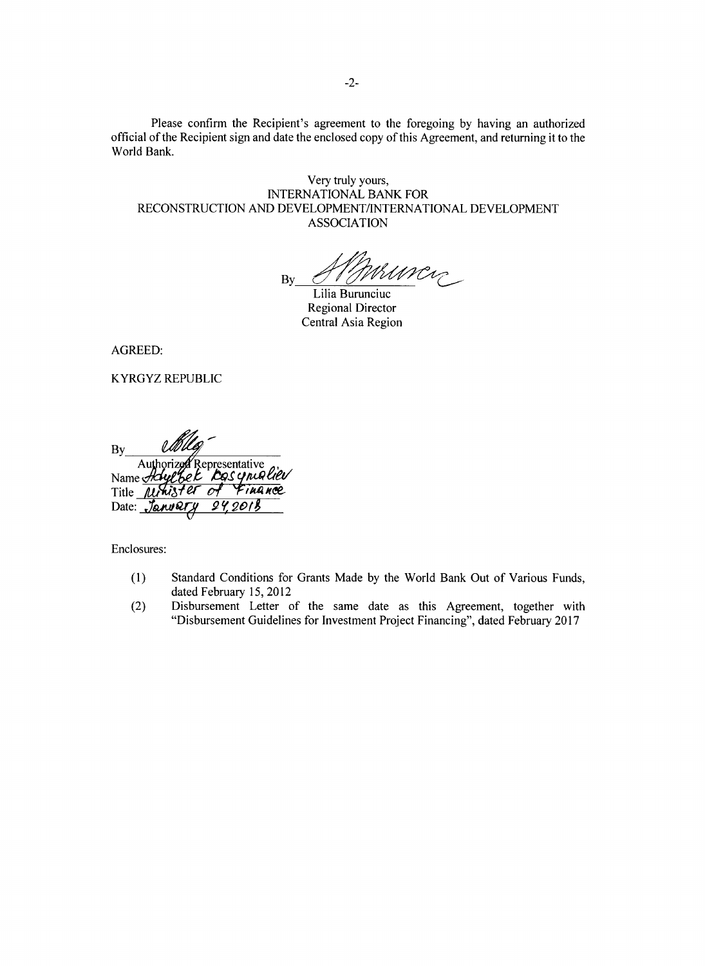Please confirm the Recipient's agreement to the foregoing **by** having an authorized official of the Recipient sign and date the enclosed copy of this Agreement, and returning it to the World Bank.

Very truly yours, **INTERNATIONAL** BANK FOR **RECONSTRUCTION AND DEVELOPMENT/INTERNATIONAL DEVELOPMENT ASSOCIATION**

 $\mathbf{B}$ Murcy

Lilia Burunciuc Regional Director Central Asia Region

AGREED:

KYRGYZ REPUBLIC

**By** Authorizea Representative Name Title *Minister of Finance* Date:  $JanuQ$ 

Enclosures:

- **(1)** Standard Conditions for Grants Made **by** the World Bank Out of Various Funds, dated February **15,** 2012
- (2) Disbursement Letter of the same date as this Agreement, together with "Disbursement Guidelines for Investment Project Financing", dated February **2017**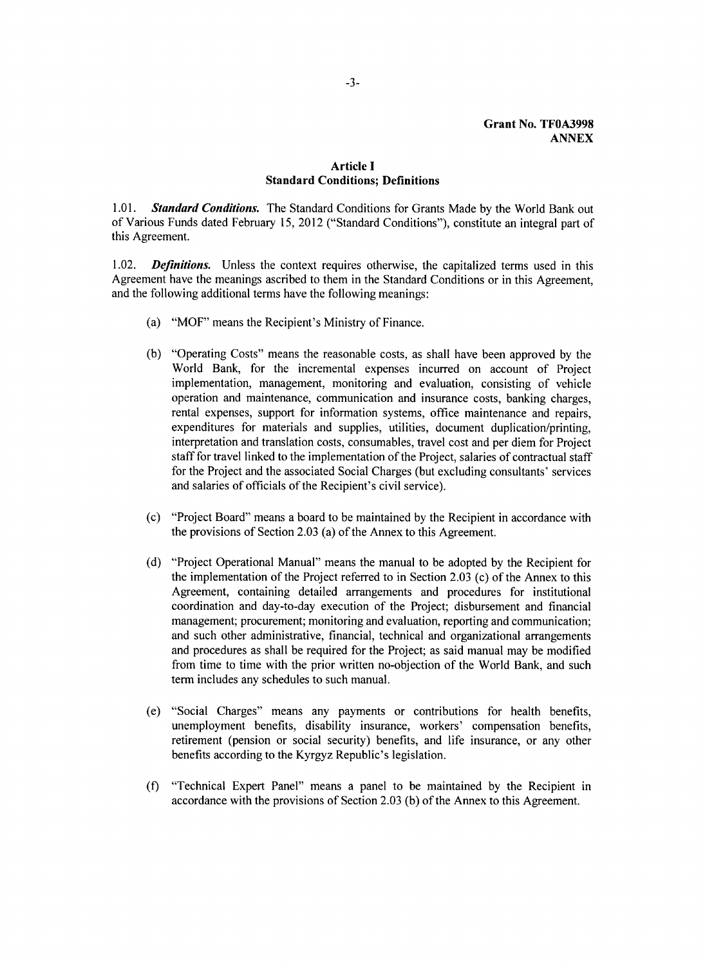# **Article I Standard Conditions; Definitions**

*1.01. Standard Conditions.* The Standard Conditions for Grants Made **by** the World Bank out of Various Funds dated February **15,** 2012 ("Standard Conditions"), constitute an integral part of this Agreement.

1.02. *Definitions.* Unless the context requires otherwise, the capitalized terms used in this Agreement have the meanings ascribed to them in the Standard Conditions or in this Agreement, and the following additional terms have the following meanings:

- (a) "MOF" means the Recipient's Ministry of Finance.
- **(b)** "Operating Costs" means the reasonable costs, as shall have been approved **by** the World Bank, for the incremental expenses incurred on account of Project implementation, management, monitoring and evaluation, consisting of vehicle operation and maintenance, communication and insurance costs, banking charges, rental expenses, support for information systems, office maintenance and repairs, expenditures for materials and supplies, utilities, document duplication/printing, interpretation and translation costs, consumables, travel cost and per diem for Project staff for travel linked to the implementation of the Project, salaries of contractual staff for the Project and the associated Social Charges (but excluding consultants' services and salaries of officials of the Recipient's civil service).
- (c) "Project Board" means a board to be maintained **by** the Recipient in accordance with the provisions of Section **2.03** (a) of the Annex to this Agreement.
- **(d)** "Project Operational Manual" means the manual to be adopted **by** the Recipient for the implementation of the Project referred to in Section **2.03** (c) of the Annex to this Agreement, containing detailed arrangements and procedures for institutional coordination and day-to-day execution of the Project; disbursement and financial management; procurement; monitoring and evaluation, reporting and communication; and such other administrative, financial, technical and organizational arrangements and procedures as shall be required for the Project; as said manual may be modified from time to time with the prior written no-objection of the World Bank, and such term includes any schedules to such manual.
- (e) "Social Charges" means any payments or contributions for health benefits, unemployment benefits, disability insurance, workers' compensation benefits, retirement (pension or social security) benefits, and life insurance, or any other benefits according to the Kyrgyz Republic's legislation.
- **(f)** "Technical Expert Panel" means a panel to be maintained **by** the Recipient in accordance with the provisions of Section **2.03 (b)** of the Annex to this Agreement.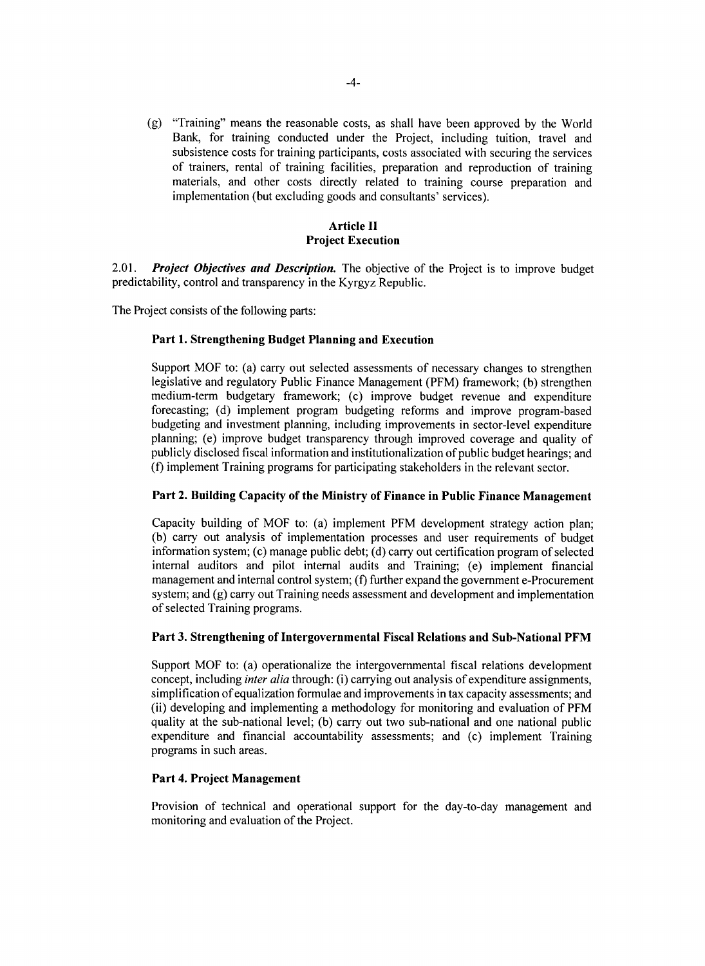*(g)* "Training" means the reasonable costs, as shall have been approved **by** the World Bank, for training conducted under the Project, including tuition, travel and subsistence costs for training participants, costs associated with securing the services of trainers, rental of training facilities, preparation and reproduction of training materials, and other costs directly related to training course preparation and implementation (but excluding goods and consultants' services).

# **Article II Project Execution**

2.01. *Project Objectives and Description.* The objective of the Project is to improve budget predictability, control and transparency in the Kyrgyz Republic.

The Project consists of the following parts:

# **Part 1. Strengthening Budget Planning and Execution**

Support MOF to: (a) carry out selected assessments of necessary changes to strengthen legislative and regulatory Public Finance Management (PFM) framework; **(b)** strengthen medium-term budgetary framework; (c) improve budget revenue and expenditure forecasting; **(d)** implement program budgeting reforms and improve program-based budgeting and investment planning, including improvements in sector-level expenditure planning; (e) improve budget transparency through improved coverage and quality of publicly disclosed fiscal information and institutionalization of public budget hearings; and (f) implement Training programs for participating stakeholders in the relevant sector.

### **Part 2. Building Capacity of the Ministry of Finance in Public Finance Management**

Capacity building of MOF to: (a) implement PFM development strategy action plan; **(b)** carry out analysis of implementation processes and user requirements of budget information system; (c) manage public debt; **(d)** carry out certification program of selected internal auditors and pilot internal audits and Training; (e) implement financial management and internal control system; **(f)** further expand the government e-Procurement system; and **(g)** carry out Training needs assessment and development and implementation of selected Training programs.

### **Part 3. Strengthening of Intergovernmental Fiscal Relations and Sub-National PFM**

Support MOF to: (a) operationalize the intergovernmental fiscal relations development concept, including *inter alia* through: (i) carrying out analysis of expenditure assignments, simplification of equalization formulae and improvements in tax capacity assessments; and (ii) developing and implementing a methodology for monitoring and evaluation of PFM quality at the sub-national level; **(b)** carry out two sub-national and one national public expenditure and financial accountability assessments; and (c) implement Training programs in such areas.

# **Part 4. Project Management**

Provision of technical and operational support for the day-to-day management and monitoring and evaluation of the Project.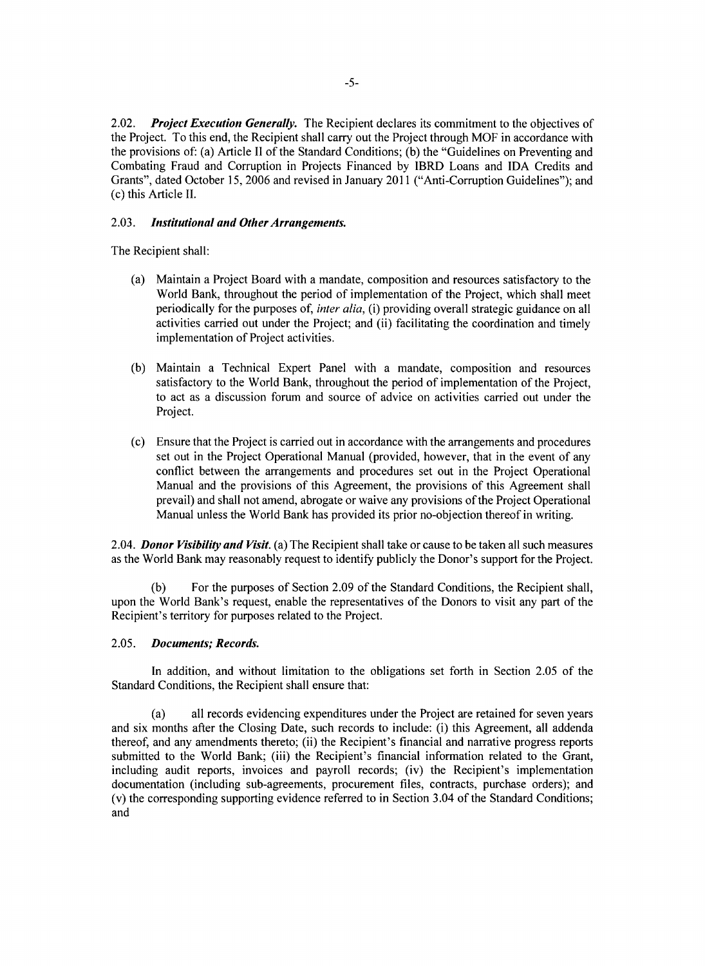2.02. *Project Execution Generally.* The Recipient declares its commitment to the objectives of the Project. To this end, the Recipient shall carry out the Project through MOF in accordance with the provisions of: (a) Article II of the Standard Conditions; **(b)** the "Guidelines on Preventing and Combating Fraud and Corruption in Projects Financed **by** IBRD Loans and **IDA** Credits and Grants", dated October *15,* **2006** and revised in January 2011 ("Anti-Corruption Guidelines"); and (c) this Article II.

### *2.03. Institutional and Other Arrangements.*

The Recipient shall:

- (a) Maintain a Project Board with a mandate, composition and resources satisfactory to the World Bank, throughout the period of implementation of the Project, which shall meet periodically for the purposes of, *inter alia,* (i) providing overall strategic guidance on all activities carried out under the Project; and (ii) facilitating the coordination and timely implementation of Project activities.
- **(b)** Maintain a Technical Expert Panel with a mandate, composition and resources satisfactory to the World Bank, throughout the period of implementation of the Project, to act as a discussion forum and source of advice on activities carried out under the Project.
- (c) Ensure that the Project is carried out in accordance with the arrangements and procedures set out in the Project Operational Manual (provided, however, that in the event of any conflict between the arrangements and procedures set out in the Project Operational Manual and the provisions of this Agreement, the provisions of this Agreement shall prevail) and shall not amend, abrogate or waive any provisions of the Project Operational Manual unless the World Bank has provided its prior no-objection thereof in writing.

*2.04. Donor Visibility and Visit.* (a) The Recipient shall take or cause to be taken all such measures as the World Bank may reasonably request to identify publicly the Donor's support for the Project.

**(b)** For the purposes of Section **2.09** of the Standard Conditions, the Recipient shall, upon the World Bank's request, enable the representatives of the Donors to visit any part of the Recipient's territory for purposes related to the Project.

## *2.05. Documents; Records.*

In addition, and without limitation to the obligations set forth in Section **2.05** of the Standard Conditions, the Recipient shall ensure that:

(a) all records evidencing expenditures under the Project are retained for seven years and six months after the Closing Date, such records to include: (i) this Agreement, all addenda thereof, and any amendments thereto; (ii) the Recipient's financial and narrative progress reports submitted to the World Bank; (iii) the Recipient's financial information related to the Grant, including audit reports, invoices and payroll records; (iv) the Recipient's implementation documentation (including sub-agreements, procurement files, contracts, purchase orders); and (v) the corresponding supporting evidence referred to in Section 3.04 of the Standard Conditions; and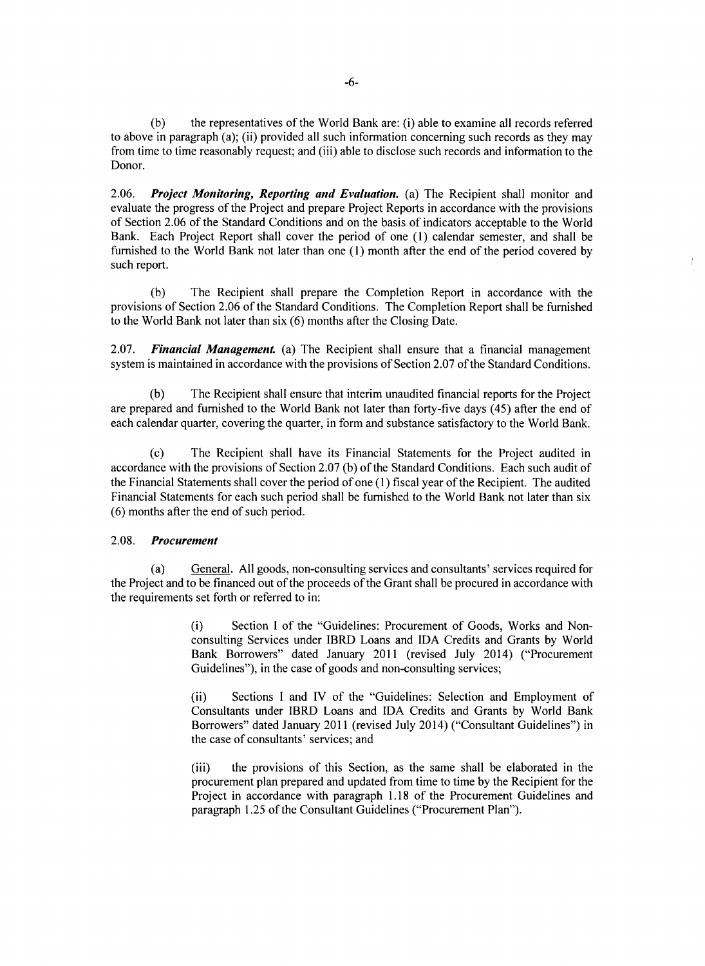**(b)** the representatives of the World Bank are: (i) able to examine all records referred to above in paragraph (a); (ii) provided all such information concerning such records as they may from time to time reasonably request; and (iii) able to disclose such records and information to the Donor.

*2.06. Project Monitoring, Reporting and Evaluation.* (a) The Recipient shall monitor and evaluate the progress of the Project and prepare Project Reports in accordance with the provisions of Section **2.06** of the Standard Conditions and on the basis of indicators acceptable to the World Bank. Each Project Report shall cover the period of one **(1)** calendar semester, and shall be furnished to the World Bank not later than one **(1)** month after the end of the period covered **by** such report.

**(b)** The Recipient shall prepare the Completion Report in accordance with the provisions of Section **2.06** of the Standard Conditions. The Completion Report shall be furnished to the World Bank not later than six **(6)** months after the Closing Date.

*2.07. Financial Management.* (a) The Recipient shall ensure that a financial management system is maintained in accordance with the provisions of Section **2.07** of the Standard Conditions.

**(b)** The Recipient shall ensure that interim unaudited financial reports for the Project are prepared and furnished to the World Bank not later than forty-five days (45) after the end of each calendar quarter, covering the quarter, in form and substance satisfactory to the World Bank.

**(c)** The Recipient shall have its Financial Statements for the Project audited in accordance with the provisions of Section **2.07 (b)** of the Standard Conditions. Each such audit of the Financial Statements shall cover the period of one **(1)** fiscal year of the Recipient. The audited Financial Statements for each such period shall be furnished to the World Bank not later than six **(6)** months after the end of such period.

## **2.08.** *Procurement*

(a) General. **All** goods, non-consulting services and consultants' services required for the Project and to be financed out of the proceeds of the Grant shall be procured in accordance with the requirements set forth or referred to in:

> (i) Section **I** of the "Guidelines: Procurement of Goods, Works and Nonconsulting Services under IBRD Loans and **IDA** Credits and Grants **by** World Bank Borrowers" dated January 2011 (revised July 2014) ("Procurement Guidelines"), in the case of goods and non-consulting services;

> (ii) Sections **I** and IV of the "Guidelines: Selection and Employment of Consultants under IBRD Loans and **IDA** Credits and Grants **by** World Bank Borrowers" dated January 2011 (revised July 2014) ("Consultant Guidelines") in the case of consultants' services; and

> (iii) the provisions of this Section, as the same shall be elaborated in the procurement plan prepared and updated from time to time **by** the Recipient for the Project in accordance with paragraph **1.18** of the Procurement Guidelines and paragraph **1.25** of the Consultant Guidelines ("Procurement Plan").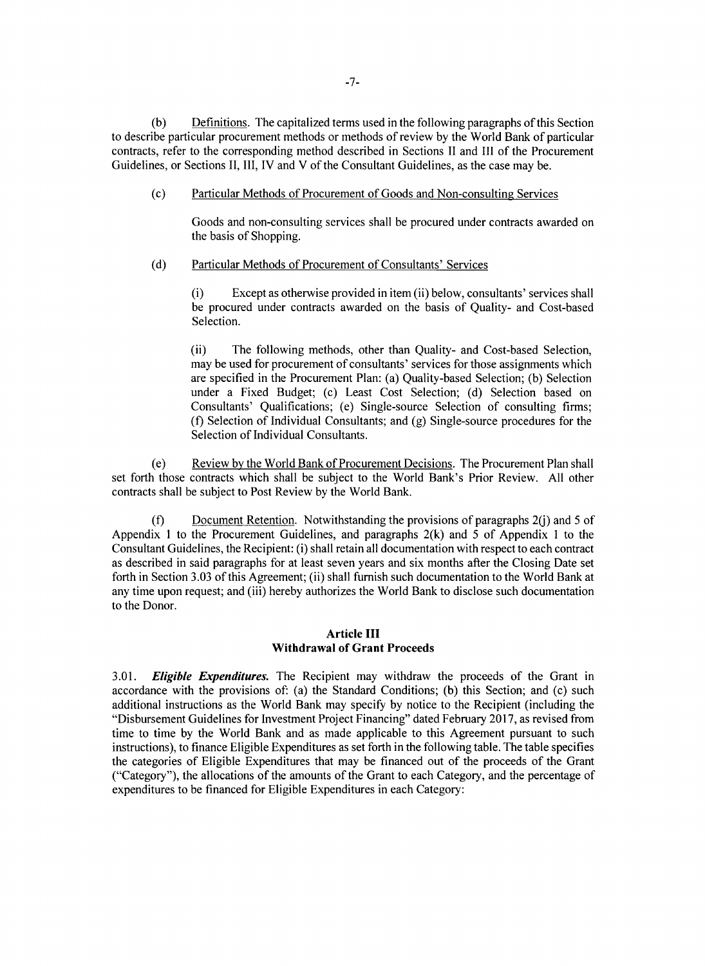**(b)** Definitions. The capitalized terms used in the following paragraphs of this Section to describe particular procurement methods or methods of review **by** the World Bank of particular contracts, refer to the corresponding method described in Sections II and **III** of the Procurement Guidelines, or Sections **II,** III, IV and V of the Consultant Guidelines, as the case may be.

## (c) Particular Methods of Procurement of Goods and Non-consulting Services

Goods and non-consulting services shall be procured under contracts awarded on the basis of Shopping.

### **(d)** Particular Methods of Procurement of Consultants' Services

(i) Except as otherwise provided in item (ii) below, consultants' services shall be procured under contracts awarded on the basis of Quality- and Cost-based Selection.

(ii) The following methods, other than Quality- and Cost-based Selection, may be used for procurement of consultants' services for those assignments which are specified in the Procurement Plan: (a) Quality-based Selection; **(b)** Selection under a Fixed Budget; (c) Least Cost Selection; **(d)** Selection based on Consultants' Qualifications; (e) Single-source Selection of consulting firms; (f) Selection of Individual Consultants; and **(g)** Single-source procedures for the Selection of Individual Consultants.

(e) Review **by** the World Bank of Procurement Decisions. The Procurement Plan shall set forth those contracts which shall be subject to the World Bank's Prior Review. **All** other contracts shall be subject to Post Review **by** the World Bank.

**(f)** Document Retention. Notwithstanding the provisions of paragraphs 2(j) and **5** of Appendix 1 to the Procurement Guidelines, and paragraphs **2(k)** and *5* of Appendix 1 to the Consultant Guidelines, the Recipient: (i) shall retain all documentation with respect to each contract as described in said paragraphs for at least seven years and six months after the Closing Date set forth in Section **3.03** of this Agreement; (ii) shall furnish such documentation to the World Bank at any time upon request; and (iii) hereby authorizes the World Bank to disclose such documentation to the Donor.

# **Article III Withdrawal of Grant Proceeds**

*3.01. Eligible Expenditures.* The Recipient may withdraw the proceeds of the Grant in accordance with the provisions of: (a) the Standard Conditions; **(b)** this Section; and (c) such additional instructions as the World Bank may specify **by** notice to the Recipient (including the "Disbursement Guidelines for Investment Project Financing" dated February **2017,** as revised from time to time **by** the World Bank and as made applicable to this Agreement pursuant to such instructions), to finance Eligible Expenditures as set forth in the following table. The table specifies the categories of Eligible Expenditures that may be financed out of the proceeds of the Grant ("Category"), the allocations of the amounts of the Grant to each Category, and the percentage of expenditures to be financed for Eligible Expenditures in each Category: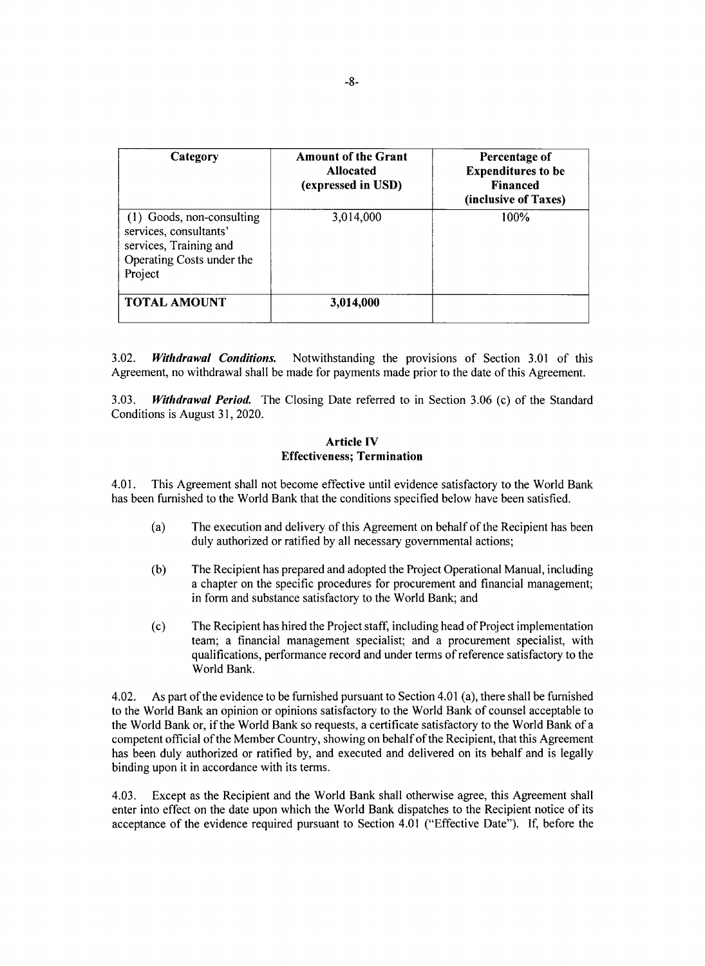| Category                                                                                                              | <b>Amount of the Grant</b><br><b>Allocated</b><br>(expressed in USD) | Percentage of<br><b>Expenditures to be</b><br><b>Financed</b><br>(inclusive of Taxes) |
|-----------------------------------------------------------------------------------------------------------------------|----------------------------------------------------------------------|---------------------------------------------------------------------------------------|
| (1) Goods, non-consulting<br>services, consultants'<br>services, Training and<br>Operating Costs under the<br>Project | 3,014,000                                                            | 100%                                                                                  |
| <b>TOTAL AMOUNT</b>                                                                                                   | 3,014,000                                                            |                                                                                       |

**3.02.** *Withdrawal Conditions.* Notwithstanding the provisions of Section **3.01** of this Agreement, no withdrawal shall be made for payments made prior to the date of this Agreement.

**3.03.** *Withdrawal Period.* The Closing Date referred to in Section **3.06** (c) of the Standard Conditions is August **31,** 2020.

#### **Article IV Effectiveness; Termination**

4.01. This Agreement shall not become effective until evidence satisfactory to the World Bank has been furnished to the World Bank that the conditions specified below have been satisfied.

- (a) The execution and delivery of this Agreement on behalf of the Recipient has been duly authorized or ratified **by** all necessary governmental actions;
- **(b)** The Recipient has prepared and adopted the Project Operational Manual, including a chapter on the specific procedures for procurement and financial management; in form and substance satisfactory to the World Bank; and
- (c) The Recipient has hired the Project staff, including head of Project implementation team; a financial management specialist; and a procurement specialist, with qualifications, performance record and under terms of reference satisfactory to the World Bank.

4.02. As part of the evidence to be furnished pursuant to Section 4.01 (a), there shall be furnished to the World Bank an opinion or opinions satisfactory to the World Bank of counsel acceptable to the World Bank or, if the World Bank so requests, a certificate satisfactory to the World Bank of a competent official of the Member Country, showing on behalf of the Recipient, that this Agreement has been duly authorized or ratified **by,** and executed and delivered on its behalf and is legally binding upon it in accordance with its terms.

4.03. Except as the Recipient and the World Bank shall otherwise agree, this Agreement shall enter into effect on the date upon which the World Bank dispatches to the Recipient notice of its acceptance of the evidence required pursuant to Section 4.01 ("Effective Date"). **If,** before the